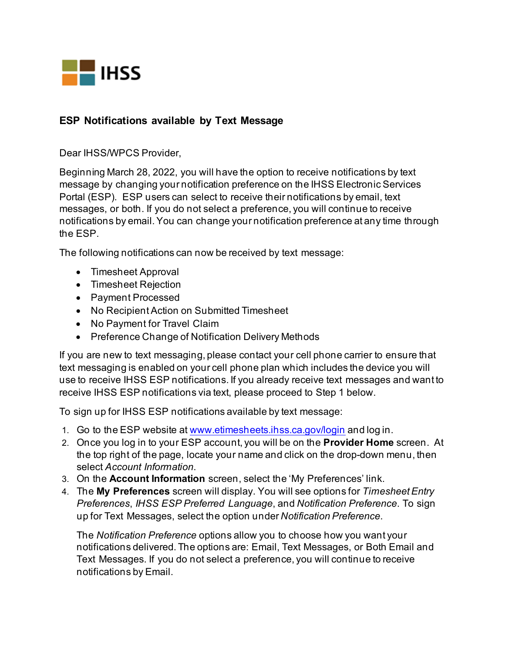

## **ESP Notifications available by Text Message**

Dear IHSS/WPCS Provider,

Beginning March 28, 2022, you will have the option to receive notifications by text message by changing your notification preference on the IHSS Electronic Services Portal (ESP). ESP users can select to receive their notifications by email, text messages, or both. If you do not select a preference, you will continue to receive notifications by email. You can change your notification preference at any time through the ESP.

The following notifications can now be received by text message:

- Timesheet Approval
- Timesheet Rejection
- Payment Processed
- No Recipient Action on Submitted Timesheet
- No Payment for Travel Claim
- Preference Change of Notification Delivery Methods

If you are new to text messaging, please contact your cell phone carrier to ensure that text messaging is enabled on your cell phone plan which includes the device you will use to receive IHSS ESP notifications. If you already receive text messages and want to receive IHSS ESP notifications via text, please proceed to Step 1 below.

To sign up for IHSS ESP notifications available by text message:

- 1. Go to the ESP website at [www.etimesheets.ihss.ca.gov/login](http://www.etimesheets.ihss.ca.gov/login) and log in.
- 2. Once you log in to your ESP account, you will be on the **Provider Home** screen. At the top right of the page, locate your name and click on the drop-down menu, then select *Account Information*.
- 3. On the **Account Information** screen, select the 'My Preferences' link.
- 4. The **My Preferences** screen will display. You will see options for *Timesheet Entry Preferences*, *IHSS ESP Preferred Language*, and *Notification Preference*. To sign up for Text Messages, select the option under *Notification Preference*.

The *Notification Preference* options allow you to choose how you want your notifications delivered. The options are: Email, Text Messages, or Both Email and Text Messages. If you do not select a preference, you will continue to receive notifications by Email.